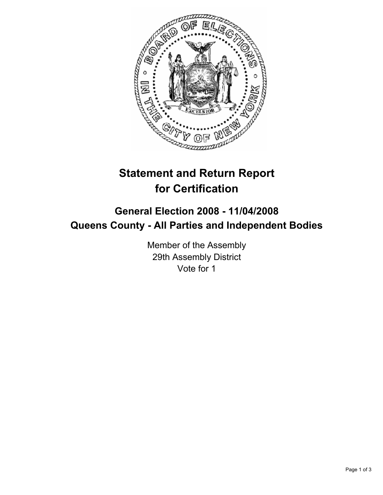

# **Statement and Return Report for Certification**

## **General Election 2008 - 11/04/2008 Queens County - All Parties and Independent Bodies**

Member of the Assembly 29th Assembly District Vote for 1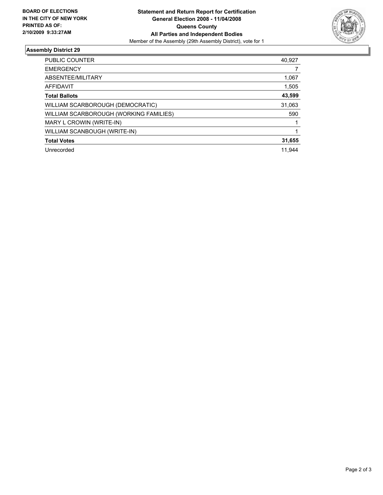

### **Assembly District 29**

| PUBLIC COUNTER                         | 40,927 |
|----------------------------------------|--------|
| <b>EMERGENCY</b>                       |        |
| ABSENTEE/MILITARY                      | 1,067  |
| <b>AFFIDAVIT</b>                       | 1,505  |
| <b>Total Ballots</b>                   | 43,599 |
| WILLIAM SCARBOROUGH (DEMOCRATIC)       | 31,063 |
| WILLIAM SCARBOROUGH (WORKING FAMILIES) | 590    |
| MARY L CROWIN (WRITE-IN)               |        |
| WILLIAM SCANBOUGH (WRITE-IN)           |        |
| <b>Total Votes</b>                     | 31,655 |
| Unrecorded                             | 11.944 |